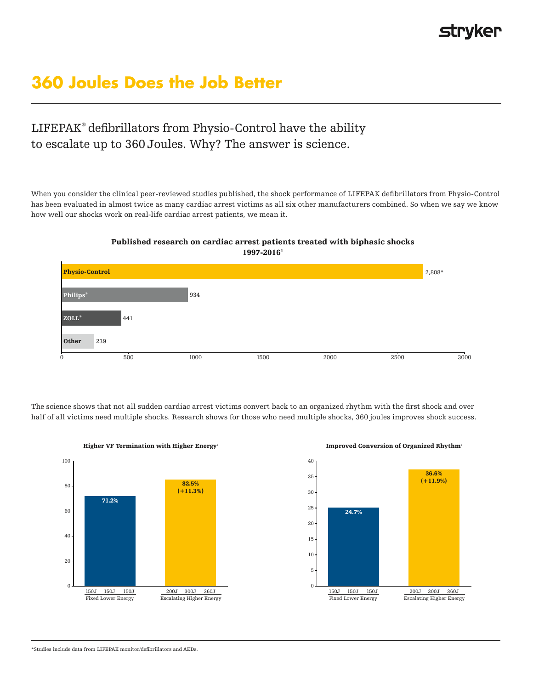# **360 Joules Does the Job Better**

## LIFEPAK® defibrillators from Physio-Control have the ability to escalate up to 360 Joules. Why? The answer is science.

When you consider the clinical peer-reviewed studies published, the shock performance of LIFEPAK defibrillators from Physio-Control has been evaluated in almost twice as many cardiac arrest victims as all six other manufacturers combined. So when we say we know how well our shocks work on real-life cardiac arrest patients, we mean it.



Published research on cardiac arrest patients treated with biphasic shocks 1997-20161

The science shows that not all sudden cardiac arrest victims convert back to an organized rhythm with the first shock and over half of all victims need multiple shocks. Research shows for those who need multiple shocks, 360 joules improves shock success.



Higher VF Termination with Higher Energy²



#### Improved Conversion of Organized Rhythm²